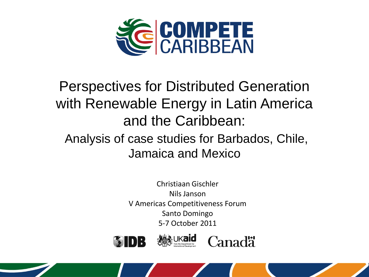

# Perspectives for Distributed Generation with Renewable Energy in Latin America and the Caribbean:

# Analysis of case studies for Barbados, Chile, Jamaica and Mexico

Christiaan Gischler Nils Janson V Americas Competitiveness Forum Santo Domingo 5-7 October 2011





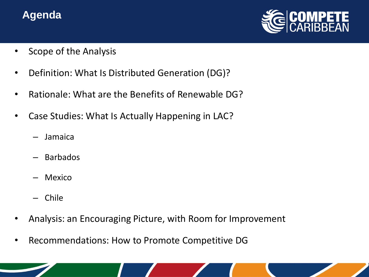### **Agenda**



- Scope of the Analysis
- Definition: What Is Distributed Generation (DG)?
- Rationale: What are the Benefits of Renewable DG?
- Case Studies: What Is Actually Happening in LAC?
	- Jamaica
	- Barbados
	- Mexico
	- Chile
- Analysis: an Encouraging Picture, with Room for Improvement
- Recommendations: How to Promote Competitive DG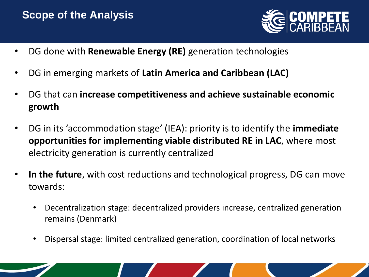### **Scope of the Analysis**



- DG done with **Renewable Energy (RE)** generation technologies
- DG in emerging markets of **Latin America and Caribbean (LAC)**
- DG that can **increase competitiveness and achieve sustainable economic growth**
- DG in its 'accommodation stage' (IEA): priority is to identify the **immediate opportunities for implementing viable distributed RE in LAC**, where most electricity generation is currently centralized
- **In the future**, with cost reductions and technological progress, DG can move towards:
	- Decentralization stage: decentralized providers increase, centralized generation remains (Denmark)
	- Dispersal stage: limited centralized generation, coordination of local networks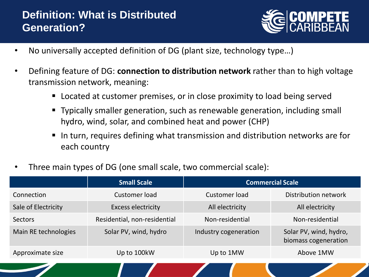### **Definition: What is Distributed Generation?**



- No universally accepted definition of DG (plant size, technology type…)
- Defining feature of DG: **connection to distribution network** rather than to high voltage transmission network, meaning:
	- Located at customer premises, or in close proximity to load being served
	- Typically smaller generation, such as renewable generation, including small hydro, wind, solar, and combined heat and power (CHP)
	- In turn, requires defining what transmission and distribution networks are for each country
- Three main types of DG (one small scale, two commercial scale):

|                      | <b>Small Scale</b>           | <b>Commercial Scale</b> |                                                |
|----------------------|------------------------------|-------------------------|------------------------------------------------|
| Connection           | Customer load                | Customer load           | Distribution network                           |
| Sale of Electricity  | <b>Excess electricity</b>    | All electricity         | All electricity                                |
| <b>Sectors</b>       | Residential, non-residential | Non-residential         | Non-residential                                |
| Main RE technologies | Solar PV, wind, hydro        | Industry cogeneration   | Solar PV, wind, hydro,<br>biomass cogeneration |
| Approximate size     | Up to 100kW                  | Up to 1MW               | Above 1MW                                      |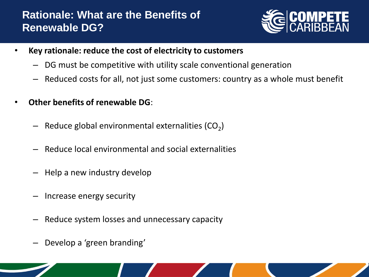### **Rationale: What are the Benefits of Renewable DG?**



- **Key rationale: reduce the cost of electricity to customers**
	- DG must be competitive with utility scale conventional generation
	- Reduced costs for all, not just some customers: country as a whole must benefit
- **Other benefits of renewable DG**:
	- $-$  Reduce global environmental externalities (CO<sub>2</sub>)
	- Reduce local environmental and social externalities
	- Help a new industry develop
	- Increase energy security
	- Reduce system losses and unnecessary capacity
	- Develop a 'green branding'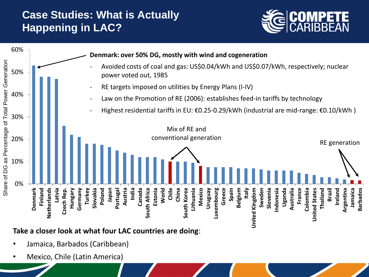### **Case Studies: What is Actually Happening in LAC?**





#### **Take a closer look at what four LAC countries are doing**:

- Jamaica, Barbados (Caribbean)
- Mexico, Chile (Latin America)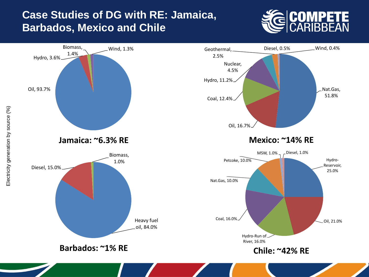### **Case Studies of DG with RE: Jamaica, Barbados, Mexico and Chile**

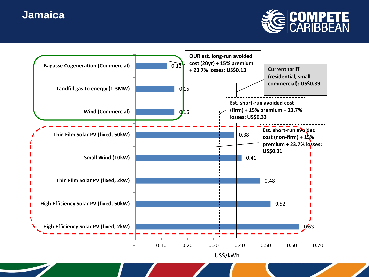### **Jamaica**



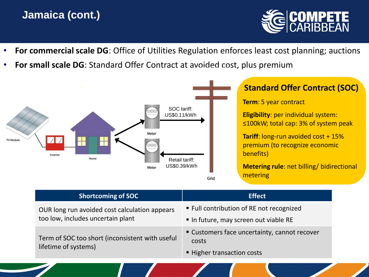### **Jamaica (cont.)**



- **For commercial scale DG**: Office of Utilities Regulation enforces least cost planning; auctions
- **For small scale DG**: Standard Offer Contract at avoided cost, plus premium



| <b>Shortcoming of SOC</b>                                                          | <b>Effect</b>                                                                       |  |
|------------------------------------------------------------------------------------|-------------------------------------------------------------------------------------|--|
| OUR long run avoided cost calculation appears<br>too low, includes uncertain plant | ■ Full contribution of RE not recognized<br>In future, may screen out viable RE     |  |
| Term of SOC too short (inconsistent with useful<br>lifetime of systems)            | • Customers face uncertainty, cannot recover<br>costs<br>■ Higher transaction costs |  |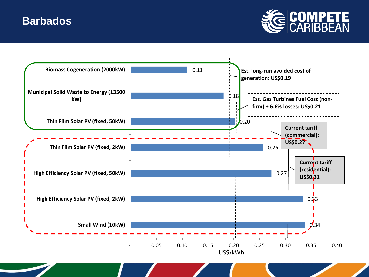### **Barbados**



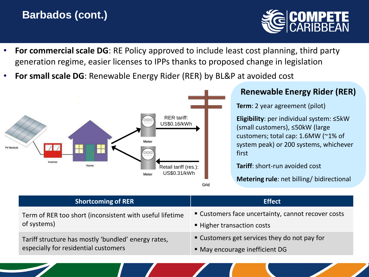### **Barbados (cont.)**



- **For commercial scale DG**: RE Policy approved to include least cost planning, third party generation regime, easier licenses to IPPs thanks to proposed change in legislation
- **For small scale DG**: Renewable Energy Rider (RER) by BL&P at avoided cost



#### **Renewable Energy Rider (RER)**

**Term**: 2 year agreement (pilot)

**Eligibility**: per individual system: ≤5kW (small customers), ≤50kW (large customers; total cap: 1.6MW (~1% of system peak) or 200 systems, whichever first

**Tariff**: short-run avoided cost

**Metering rule**: net billing/ bidirectional

| <b>Shortcoming of RER</b>                                | <b>Effect</b>                                      |  |
|----------------------------------------------------------|----------------------------------------------------|--|
| Term of RER too short (inconsistent with useful lifetime | • Customers face uncertainty, cannot recover costs |  |
| of systems)                                              | ■ Higher transaction costs                         |  |
| Tariff structure has mostly 'bundled' energy rates,      | • Customers get services they do not pay for       |  |
| especially for residential customers                     | • May encourage inefficient DG                     |  |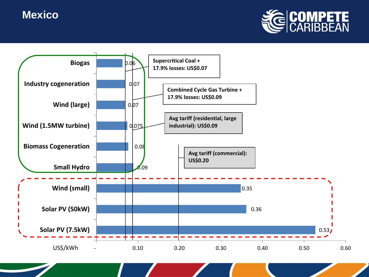### **Mexico**



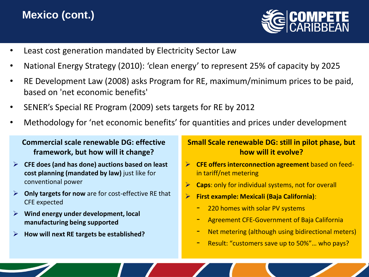### **Mexico (cont.)**



- Least cost generation mandated by Electricity Sector Law
- National Energy Strategy (2010): 'clean energy' to represent 25% of capacity by 2025
- RE Development Law (2008) asks Program for RE, maximum/minimum prices to be paid, based on 'net economic benefits'
- SENER's Special RE Program (2009) sets targets for RE by 2012
- Methodology for 'net economic benefits' for quantities and prices under development

#### **Commercial scale renewable DG: effective framework, but how will it change?**

- **CFE does (and has done) auctions based on least cost planning (mandated by law)** just like for conventional power
- **Only targets for now** are for cost-effective RE that CFE expected
- **Wind energy under development, local manufacturing being supported**
- **How will next RE targets be established?**

#### **Small Scale renewable DG: still in pilot phase, but how will it evolve?**

- **CFE offers interconnection agreement** based on feedin tariff/net metering
- **Caps**: only for individual systems, not for overall
- **First example: Mexicali (Baja California)**:
	- 220 homes with solar PV systems
	- Agreement CFE-Government of Baja California
	- Net metering (although using bidirectional meters)
	- Result: "customers save up to 50%"... who pays?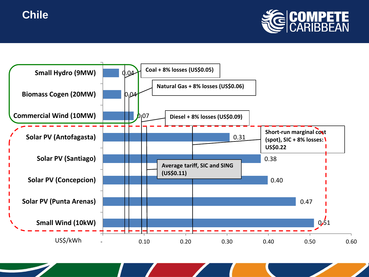



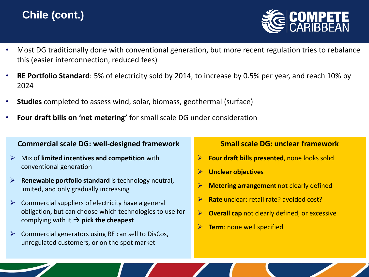## **Chile (cont.)**



- Most DG traditionally done with conventional generation, but more recent regulation tries to rebalance this (easier interconnection, reduced fees)
- **RE Portfolio Standard**: 5% of electricity sold by 2014, to increase by 0.5% per year, and reach 10% by 2024
- **Studies** completed to assess wind, solar, biomass, geothermal (surface)
- **Four draft bills on 'net metering'** for small scale DG under consideration

#### **Commercial scale DG: well-designed framework**

- Mix of **limited incentives and competition** with conventional generation
- **Renewable portfolio standard** is technology neutral, limited, and only gradually increasing
- $\triangleright$  Commercial suppliers of electricity have a general obligation, but can choose which technologies to use for complying with it  $\rightarrow$  pick the cheapest
- $\triangleright$  Commercial generators using RE can sell to DisCos, unregulated customers, or on the spot market

#### **Small scale DG: unclear framework**

- **Four draft bills presented**, none looks solid
- **Unclear objectives**
- **Metering arrangement** not clearly defined
- **Rate** unclear: retail rate? avoided cost?
- **Overall cap** not clearly defined, or excessive
- **Term**: none well specified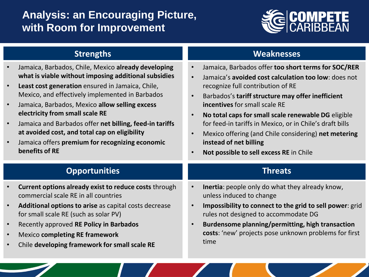### **Analysis: an Encouraging Picture, with Room for Improvement**



#### **Strengths**

- Jamaica, Barbados, Chile, Mexico **already developing what is viable without imposing additional subsidies**
- **Least cost generation** ensured in Jamaica, Chile, Mexico, and effectively implemented in Barbados
- Jamaica, Barbados, Mexico **allow selling excess electricity from small scale RE**
- Jamaica and Barbados offer **net billing, feed-in tariffs at avoided cost, and total cap on eligibility**
- Jamaica offers **premium for recognizing economic benefits of RE**

#### **Weaknesses**

- Jamaica, Barbados offer **too short terms for SOC/RER**
- Jamaica's **avoided cost calculation too low**: does not recognize full contribution of RE
- Barbados's **tariff structure may offer inefficient incentives** for small scale RE
- **No total caps for small scale renewable DG** eligible for feed-in tariffs in Mexico, or in Chile's draft bills
- Mexico offering (and Chile considering) **net metering instead of net billing**
- **Not possible to sell excess RE** in Chile

#### **Threats**

#### **Opportunities**

- **Current options already exist to reduce costs** through commercial scale RE in all countries
- **Additional options to arise** as capital costs decrease for small scale RE (such as solar PV)
- Recently approved **RE Policy in Barbados**
- Mexico **completing RE framework**
- Chile **developing framework for small scale RE**
- **Inertia**: people only do what they already know, unless induced to change
- **Impossibility to connect to the grid to sell power**: grid rules not designed to accommodate DG
- **Burdensome planning/permitting, high transaction costs**: 'new' projects pose unknown problems for first time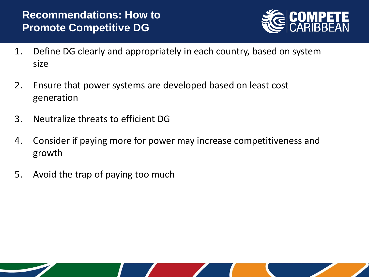

- 1. Define DG clearly and appropriately in each country, based on system size
- 2. Ensure that power systems are developed based on least cost generation
- 3. Neutralize threats to efficient DG
- 4. Consider if paying more for power may increase competitiveness and growth
- 5. Avoid the trap of paying too much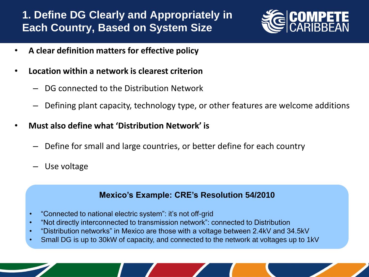### **1. Define DG Clearly and Appropriately in Each Country, Based on System Size**



- **A clear definition matters for effective policy**
- **Location within a network is clearest criterion**
	- DG connected to the Distribution Network
	- Defining plant capacity, technology type, or other features are welcome additions
- **Must also define what 'Distribution Network' is**
	- Define for small and large countries, or better define for each country
	- Use voltage

#### **Mexico's Example: CRE's Resolution 54/2010**

- "Connected to national electric system": it's not off-grid
- "Not directly interconnected to transmission network": connected to Distribution
- "Distribution networks" in Mexico are those with a voltage between 2.4kV and 34.5kV
- Small DG is up to 30kW of capacity, and connected to the network at voltages up to 1kV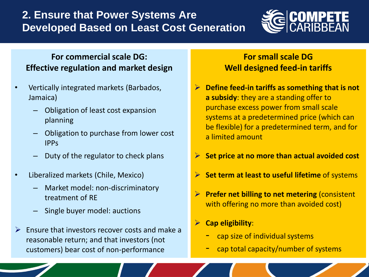### **2. Ensure that Power Systems Are Developed Based on Least Cost Generation**



#### **For commercial scale DG: Effective regulation and market design**

- Vertically integrated markets (Barbados, Jamaica)
	- Obligation of least cost expansion planning
	- Obligation to purchase from lower cost IPPs
	- Duty of the regulator to check plans
- Liberalized markets (Chile, Mexico)
	- Market model: non-discriminatory treatment of RE
	- Single buyer model: auctions
- $\triangleright$  Ensure that investors recover costs and make a reasonable return; and that investors (not customers) bear cost of non-performance

### **For small scale DG Well designed feed-in tariffs**

- **Define feed-in tariffs as something that is not a subsidy**: they are a standing offer to purchase excess power from small scale systems at a predetermined price (which can be flexible) for a predetermined term, and for a limited amount
- **Set price at no more than actual avoided cost**
- **Set term at least to useful lifetime** of systems
- **Prefer net billing to net metering** (consistent with offering no more than avoided cost)
- **Cap eligibility**:
	- cap size of individual systems
	- cap total capacity/number of systems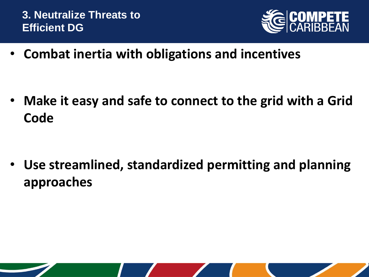

• **Combat inertia with obligations and incentives**

• **Make it easy and safe to connect to the grid with a Grid Code**

• **Use streamlined, standardized permitting and planning approaches**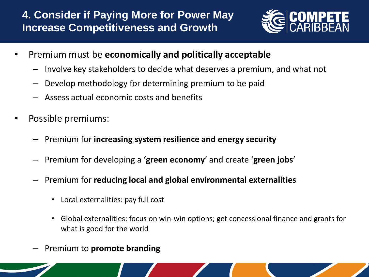### **4. Consider if Paying More for Power May Increase Competitiveness and Growth**



- Premium must be **economically and politically acceptable**
	- Involve key stakeholders to decide what deserves a premium, and what not
	- Develop methodology for determining premium to be paid
	- Assess actual economic costs and benefits
- Possible premiums:
	- Premium for **increasing system resilience and energy security**
	- Premium for developing a '**green economy**' and create '**green jobs**'
	- Premium for **reducing local and global environmental externalities**
		- Local externalities: pay full cost
		- Global externalities: focus on win-win options; get concessional finance and grants for what is good for the world
	- Premium to **promote branding**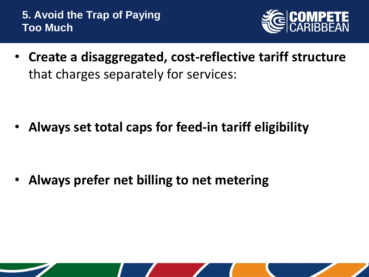**5. Avoid the Trap of Paying Too Much**



• **Create a disaggregated, cost-reflective tariff structure** that charges separately for services:

• **Always set total caps for feed-in tariff eligibility**

• **Always prefer net billing to net metering**